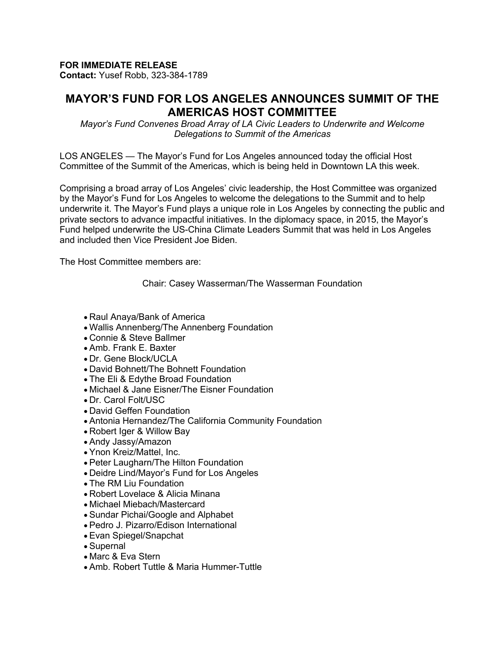## **FOR IMMEDIATE RELEASE**

**Contact:** Yusef Robb, 323-384-1789

## **MAYOR'S FUND FOR LOS ANGELES ANNOUNCES SUMMIT OF THE AMERICAS HOST COMMITTEE**

*Mayor's Fund Convenes Broad Array of LA Civic Leaders to Underwrite and Welcome Delegations to Summit of the Americas*

LOS ANGELES — The Mayor's Fund for Los Angeles announced today the official Host Committee of the Summit of the Americas, which is being held in Downtown LA this week.

Comprising a broad array of Los Angeles' civic leadership, the Host Committee was organized by the Mayor's Fund for Los Angeles to welcome the delegations to the Summit and to help underwrite it. The Mayor's Fund plays a unique role in Los Angeles by connecting the public and private sectors to advance impactful initiatives. In the diplomacy space, in 2015, the Mayor's Fund helped underwrite the US-China Climate Leaders Summit that was held in Los Angeles and included then Vice President Joe Biden.

The Host Committee members are:

Chair: Casey Wasserman/The Wasserman Foundation

- Raul Anaya/Bank of America
- Wallis Annenberg/The Annenberg Foundation
- Connie & Steve Ballmer
- Amb. Frank E. Baxter
- Dr. Gene Block/UCLA
- David Bohnett/The Bohnett Foundation
- The Eli & Edythe Broad Foundation
- Michael & Jane Eisner/The Eisner Foundation
- Dr. Carol Folt/USC
- David Geffen Foundation
- Antonia Hernandez/The California Community Foundation
- Robert Iger & Willow Bay
- Andy Jassy/Amazon
- Ynon Kreiz/Mattel, Inc.
- Peter Laugharn/The Hilton Foundation
- Deidre Lind/Mayor's Fund for Los Angeles
- The RM Liu Foundation
- Robert Lovelace & Alicia Minana
- Michael Miebach/Mastercard
- Sundar Pichai/Google and Alphabet
- Pedro J. Pizarro/Edison International
- Evan Spiegel/Snapchat
- Supernal
- Marc & Eva Stern
- Amb. Robert Tuttle & Maria Hummer-Tuttle